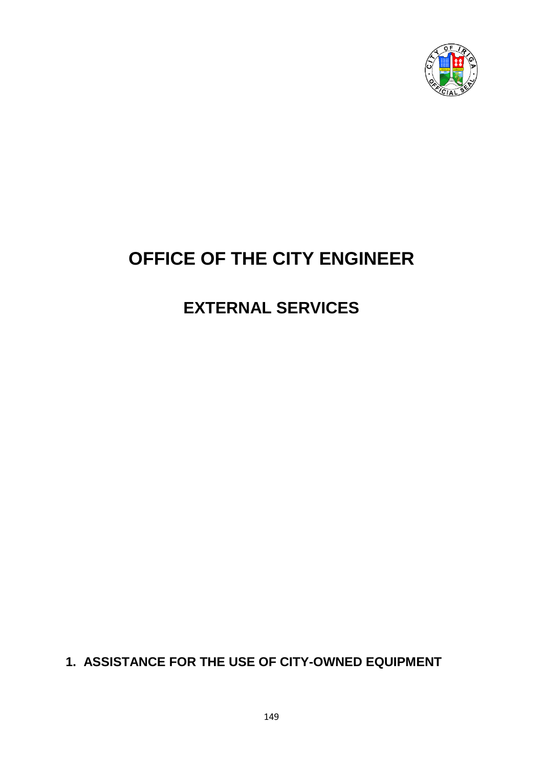

## **OFFICE OF THE CITY ENGINEER**

## **EXTERNAL SERVICES**

**1. ASSISTANCE FOR THE USE OF CITY-OWNED EQUIPMENT**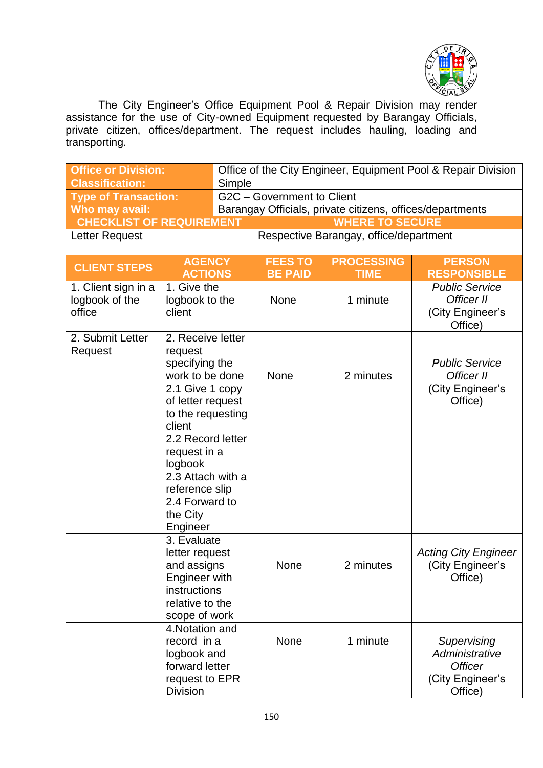

The City Engineer's Office Equipment Pool & Repair Division may render assistance for the use of City-owned Equipment requested by Barangay Officials, private citizen, offices/department. The request includes hauling, loading and transporting.

| <b>Office or Division:</b>      |                                                                          | Office of the City Engineer, Equipment Pool & Repair Division |                                                           |                                        |                             |  |
|---------------------------------|--------------------------------------------------------------------------|---------------------------------------------------------------|-----------------------------------------------------------|----------------------------------------|-----------------------------|--|
| <b>Classification:</b>          |                                                                          | Simple                                                        |                                                           |                                        |                             |  |
| <b>Type of Transaction:</b>     |                                                                          | G2C - Government to Client                                    |                                                           |                                        |                             |  |
| Who may avail:                  |                                                                          |                                                               | Barangay Officials, private citizens, offices/departments |                                        |                             |  |
| <b>CHECKLIST OF REQUIREMENT</b> |                                                                          |                                                               | <b>WHERE TO SECURE</b>                                    |                                        |                             |  |
| Letter Request                  |                                                                          |                                                               |                                                           | Respective Barangay, office/department |                             |  |
|                                 |                                                                          |                                                               |                                                           |                                        |                             |  |
| <b>CLIENT STEPS</b>             | <b>AGENCY</b>                                                            |                                                               | <b>FEES TO</b>                                            | <b>PROCESSING</b>                      | <b>PERSON</b>               |  |
|                                 | <b>ACTIONS</b>                                                           |                                                               | <b>BE PAID</b>                                            | <b>TIME</b>                            | <b>RESPONSIBLE</b>          |  |
| 1. Client sign in a             | 1. Give the                                                              |                                                               |                                                           |                                        | <b>Public Service</b>       |  |
| logbook of the                  | logbook to the                                                           |                                                               | <b>None</b>                                               | 1 minute                               | Officer II                  |  |
| office                          | client                                                                   |                                                               |                                                           |                                        | (City Engineer's            |  |
|                                 |                                                                          |                                                               |                                                           |                                        | Office)                     |  |
| 2. Submit Letter                | 2. Receive letter                                                        |                                                               |                                                           |                                        |                             |  |
| Request                         | request                                                                  |                                                               |                                                           |                                        |                             |  |
|                                 | specifying the                                                           |                                                               |                                                           |                                        | <b>Public Service</b>       |  |
|                                 | work to be done                                                          |                                                               | None                                                      | 2 minutes                              | Officer II                  |  |
|                                 | 2.1 Give 1 copy                                                          |                                                               |                                                           |                                        | (City Engineer's            |  |
|                                 | of letter request<br>to the requesting<br>client                         |                                                               |                                                           |                                        | Office)                     |  |
|                                 |                                                                          |                                                               |                                                           |                                        |                             |  |
|                                 |                                                                          |                                                               |                                                           |                                        |                             |  |
|                                 | 2.2 Record letter                                                        |                                                               |                                                           |                                        |                             |  |
|                                 | request in a<br>logbook<br>2.3 Attach with a                             |                                                               |                                                           |                                        |                             |  |
|                                 |                                                                          |                                                               |                                                           |                                        |                             |  |
|                                 |                                                                          |                                                               |                                                           |                                        |                             |  |
|                                 | reference slip<br>2.4 Forward to                                         |                                                               |                                                           |                                        |                             |  |
|                                 | the City                                                                 |                                                               |                                                           |                                        |                             |  |
|                                 | Engineer                                                                 |                                                               |                                                           |                                        |                             |  |
|                                 | 3. Evaluate                                                              |                                                               |                                                           |                                        |                             |  |
|                                 | letter request                                                           |                                                               |                                                           |                                        | <b>Acting City Engineer</b> |  |
|                                 | and assigns                                                              |                                                               | <b>None</b>                                               | 2 minutes                              | (City Engineer's            |  |
|                                 | <b>Engineer</b> with<br>instructions<br>relative to the<br>scope of work |                                                               |                                                           |                                        | Office)                     |  |
|                                 |                                                                          |                                                               |                                                           |                                        |                             |  |
|                                 |                                                                          |                                                               |                                                           |                                        |                             |  |
|                                 |                                                                          |                                                               |                                                           |                                        |                             |  |
|                                 | 4. Notation and                                                          |                                                               |                                                           |                                        |                             |  |
|                                 | record in a                                                              |                                                               | None                                                      | 1 minute                               | Supervising                 |  |
|                                 | logbook and                                                              |                                                               |                                                           |                                        | Administrative              |  |
|                                 | forward letter                                                           |                                                               |                                                           |                                        | <b>Officer</b>              |  |
|                                 | request to EPR                                                           |                                                               |                                                           |                                        | (City Engineer's            |  |
|                                 | <b>Division</b>                                                          |                                                               |                                                           |                                        | Office)                     |  |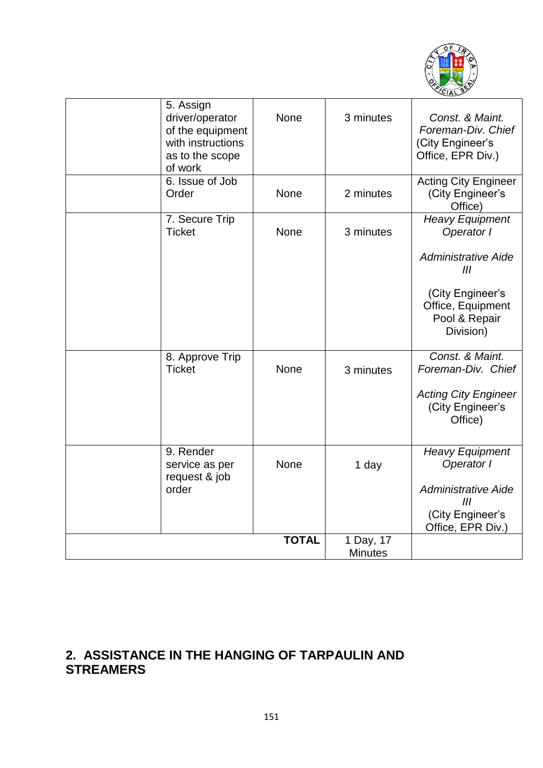

| 5. Assign<br>driver/operator<br>of the equipment<br>with instructions<br>as to the scope<br>of work<br>6. Issue of Job<br>Order | None<br>None | 3 minutes<br>2 minutes | Const. & Maint.<br>Foreman-Div. Chief<br>(City Engineer's<br>Office, EPR Div.)<br><b>Acting City Engineer</b><br>(City Engineer's |
|---------------------------------------------------------------------------------------------------------------------------------|--------------|------------------------|-----------------------------------------------------------------------------------------------------------------------------------|
|                                                                                                                                 |              |                        | Office)                                                                                                                           |
| 7. Secure Trip<br><b>Ticket</b>                                                                                                 | None         | 3 minutes              | <b>Heavy Equipment</b><br>Operator I                                                                                              |
|                                                                                                                                 |              |                        | <b>Administrative Aide</b><br>III                                                                                                 |
|                                                                                                                                 |              |                        | (City Engineer's<br>Office, Equipment<br>Pool & Repair<br>Division)                                                               |
| 8. Approve Trip<br><b>Ticket</b>                                                                                                | None         | 3 minutes              | Const. & Maint.<br>Foreman-Div. Chief                                                                                             |
|                                                                                                                                 |              |                        | <b>Acting City Engineer</b><br>(City Engineer's<br>Office)                                                                        |
| 9. Render<br>service as per<br>request & job                                                                                    | None         | 1 day                  | <b>Heavy Equipment</b><br>Operator I                                                                                              |
| order                                                                                                                           |              |                        | <b>Administrative Aide</b><br>III                                                                                                 |
|                                                                                                                                 |              |                        | (City Engineer's<br>Office, EPR Div.)                                                                                             |
|                                                                                                                                 | <b>TOTAL</b> | 1 Day, 17              |                                                                                                                                   |
|                                                                                                                                 |              | <b>Minutes</b>         |                                                                                                                                   |

## **2. ASSISTANCE IN THE HANGING OF TARPAULIN AND STREAMERS**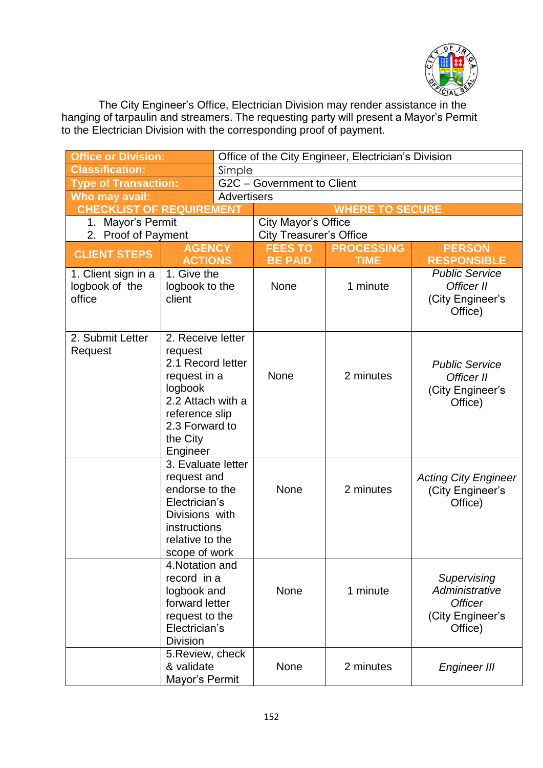

The City Engineer's Office, Electrician Division may render assistance in the hanging of tarpaulin and streamers. The requesting party will present a Mayor's Permit to the Electrician Division with the corresponding proof of payment.

| <b>Office or Division:</b>                      |                                                                                                                                                                           | Office of the City Engineer, Electrician's Division |                                |                        |                                                                                |  |  |
|-------------------------------------------------|---------------------------------------------------------------------------------------------------------------------------------------------------------------------------|-----------------------------------------------------|--------------------------------|------------------------|--------------------------------------------------------------------------------|--|--|
| <b>Classification:</b>                          |                                                                                                                                                                           | Simple                                              |                                |                        |                                                                                |  |  |
| <b>Type of Transaction:</b>                     |                                                                                                                                                                           | G2C - Government to Client                          |                                |                        |                                                                                |  |  |
| Who may avail:                                  |                                                                                                                                                                           |                                                     | Advertisers                    |                        |                                                                                |  |  |
| <b>CHECKLIST OF REQUIREMENT</b>                 |                                                                                                                                                                           |                                                     |                                | <b>WHERE TO SECURE</b> |                                                                                |  |  |
| 1. Mayor's Permit                               |                                                                                                                                                                           |                                                     | City Mayor's Office            |                        |                                                                                |  |  |
| 2. Proof of Payment                             |                                                                                                                                                                           |                                                     | <b>City Treasurer's Office</b> |                        |                                                                                |  |  |
| <b>CLIENT STEPS</b>                             | <b>AGENCY</b>                                                                                                                                                             |                                                     | <b>FEES TO</b>                 | <b>PROCESSING</b>      | <b>PERSON</b>                                                                  |  |  |
|                                                 | <b>ACTIONS</b>                                                                                                                                                            |                                                     | <b>BE PAID</b>                 | <b>TIME</b>            | <b>RESPONSIBLE</b>                                                             |  |  |
| 1. Client sign in a<br>logbook of the<br>office | 1. Give the<br>logbook to the<br>client                                                                                                                                   |                                                     | None                           | 1 minute               | <b>Public Service</b><br>Officer II<br>(City Engineer's<br>Office)             |  |  |
| 2. Submit Letter<br>Request                     | 2. Receive letter<br>request<br>2.1 Record letter<br>request in a<br>logbook<br>2.2 Attach with a<br>reference slip<br>2.3 Forward to<br>the City<br>Engineer             |                                                     | <b>None</b>                    | 2 minutes              | <b>Public Service</b><br>Officer II<br>(City Engineer's<br>Office)             |  |  |
|                                                 | 3. Evaluate letter<br>request and<br>endorse to the<br>Electrician's<br>Divisions with<br>instructions<br>relative to the<br>scope of work                                |                                                     | <b>None</b>                    | 2 minutes              | <b>Acting City Engineer</b><br>(City Engineer's<br>Office)                     |  |  |
|                                                 | 4. Notation and<br>record in a<br>logbook and<br>forward letter<br>request to the<br>Electrician's<br><b>Division</b><br>5. Review, check<br>& validate<br>Mayor's Permit |                                                     | None                           | 1 minute               | Supervising<br>Administrative<br><b>Officer</b><br>(City Engineer's<br>Office) |  |  |
|                                                 |                                                                                                                                                                           |                                                     | None                           | 2 minutes              | <b>Engineer III</b>                                                            |  |  |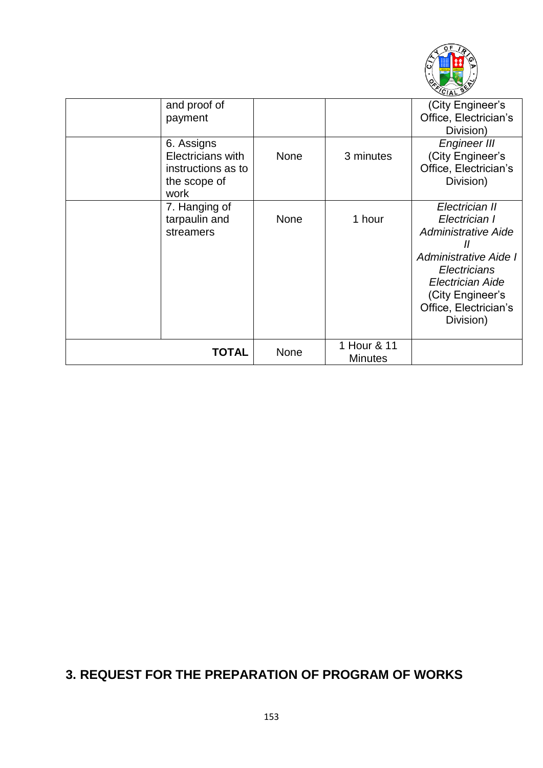

| and proof of<br>payment                                                       |             |                               | (City Engineer's<br>Office, Electrician's<br>Division)                                                                                                                                           |
|-------------------------------------------------------------------------------|-------------|-------------------------------|--------------------------------------------------------------------------------------------------------------------------------------------------------------------------------------------------|
| 6. Assigns<br>Electricians with<br>instructions as to<br>the scope of<br>work | <b>None</b> | 3 minutes                     | Engineer III<br>(City Engineer's<br>Office, Electrician's<br>Division)                                                                                                                           |
| 7. Hanging of<br>tarpaulin and<br>streamers                                   | <b>None</b> | 1 hour                        | Electrician II<br>Electrician I<br><b>Administrative Aide</b><br>$\prime$<br>Administrative Aide I<br>Electricians<br>Electrician Aide<br>(City Engineer's<br>Office, Electrician's<br>Division) |
| TOTAL                                                                         | <b>None</b> | 1 Hour & 11<br><b>Minutes</b> |                                                                                                                                                                                                  |

## **3. REQUEST FOR THE PREPARATION OF PROGRAM OF WORKS**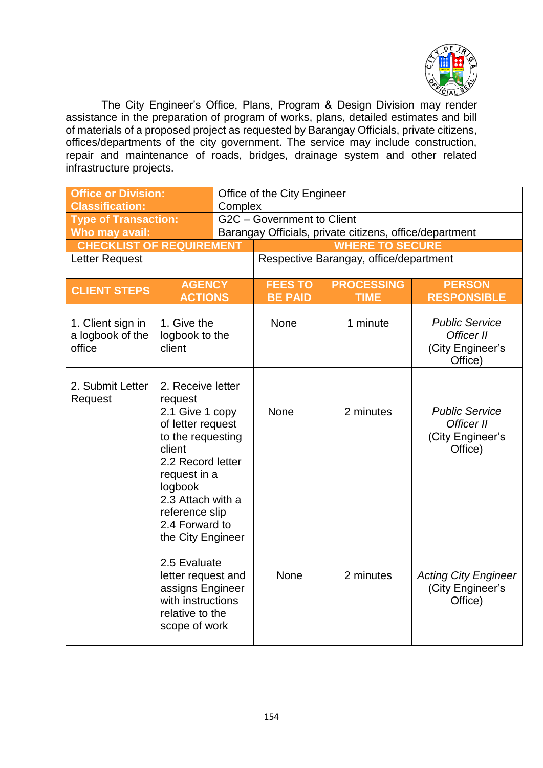

The City Engineer's Office, Plans, Program & Design Division may render assistance in the preparation of program of works, plans, detailed estimates and bill of materials of a proposed project as requested by Barangay Officials, private citizens, offices/departments of the city government. The service may include construction, repair and maintenance of roads, bridges, drainage system and other related infrastructure projects.

| <b>Office or Division:</b>                      |                                                                                                                                                                                                                                   | Office of the City Engineer |                                                         |                                        |                                                                    |  |  |
|-------------------------------------------------|-----------------------------------------------------------------------------------------------------------------------------------------------------------------------------------------------------------------------------------|-----------------------------|---------------------------------------------------------|----------------------------------------|--------------------------------------------------------------------|--|--|
| <b>Classification:</b>                          |                                                                                                                                                                                                                                   | Complex                     |                                                         |                                        |                                                                    |  |  |
| <b>Type of Transaction:</b>                     |                                                                                                                                                                                                                                   |                             | G2C - Government to Client                              |                                        |                                                                    |  |  |
| Who may avail:                                  |                                                                                                                                                                                                                                   |                             | Barangay Officials, private citizens, office/department |                                        |                                                                    |  |  |
| <b>CHECKLIST OF REQUIREMENT</b>                 |                                                                                                                                                                                                                                   |                             |                                                         | <b>WHERE TO SECURE</b>                 |                                                                    |  |  |
| Letter Request                                  |                                                                                                                                                                                                                                   |                             |                                                         | Respective Barangay, office/department |                                                                    |  |  |
|                                                 |                                                                                                                                                                                                                                   |                             |                                                         |                                        |                                                                    |  |  |
| <b>CLIENT STEPS</b>                             | <b>AGENCY</b><br><b>ACTIONS</b>                                                                                                                                                                                                   |                             | <b>FEES TO</b><br><b>BE PAID</b>                        | <b>PROCESSING</b><br><b>TIME</b>       | <b>PERSON</b><br><b>RESPONSIBLE</b>                                |  |  |
| 1. Client sign in<br>a logbook of the<br>office | 1. Give the<br>logbook to the<br>client                                                                                                                                                                                           |                             | <b>None</b>                                             | 1 minute                               | <b>Public Service</b><br>Officer II<br>(City Engineer's<br>Office) |  |  |
| 2. Submit Letter<br>Request                     | 2. Receive letter<br>request<br>2.1 Give 1 copy<br>of letter request<br>to the requesting<br>client<br>2.2 Record letter<br>request in a<br>logbook<br>2.3 Attach with a<br>reference slip<br>2.4 Forward to<br>the City Engineer |                             | <b>None</b>                                             | 2 minutes                              | <b>Public Service</b><br>Officer II<br>(City Engineer's<br>Office) |  |  |
|                                                 | 2.5 Evaluate<br>letter request and<br>assigns Engineer<br>with instructions<br>relative to the<br>scope of work                                                                                                                   |                             | <b>None</b>                                             | 2 minutes                              | <b>Acting City Engineer</b><br>(City Engineer's<br>Office)         |  |  |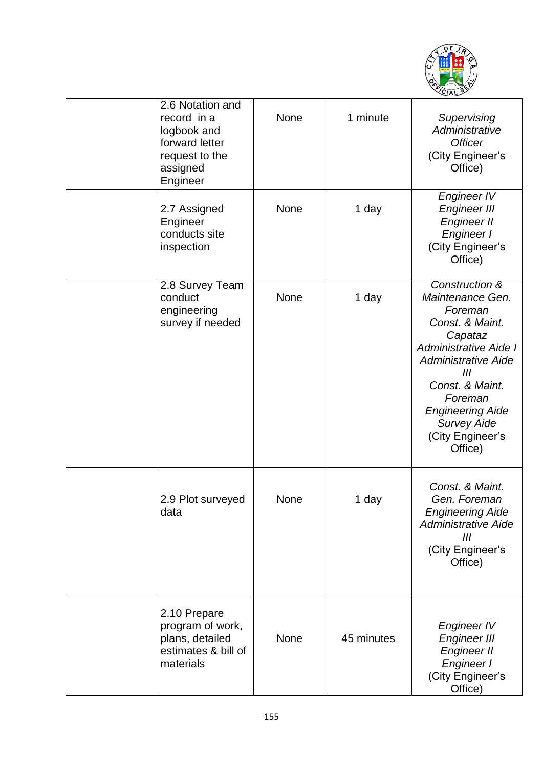

| 2.6 Notation and<br>record in a<br>logbook and<br>forward letter<br>request to the<br>assigned<br>Engineer | <b>None</b> | 1 minute   | Supervising<br>Administrative<br><b>Officer</b><br>(City Engineer's<br>Office)                                                                                                                                                                          |
|------------------------------------------------------------------------------------------------------------|-------------|------------|---------------------------------------------------------------------------------------------------------------------------------------------------------------------------------------------------------------------------------------------------------|
| 2.7 Assigned<br>Engineer<br>conducts site<br>inspection                                                    | <b>None</b> | 1 day      | <b>Engineer IV</b><br><b>Engineer III</b><br>Engineer II<br>Engineer I<br>(City Engineer's<br>Office)                                                                                                                                                   |
| 2.8 Survey Team<br>conduct<br>engineering<br>survey if needed                                              | None        | 1 day      | Construction &<br>Maintenance Gen.<br>Foreman<br>Const. & Maint.<br>Capataz<br>Administrative Aide I<br><b>Administrative Aide</b><br>III<br>Const. & Maint.<br>Foreman<br><b>Engineering Aide</b><br><b>Survey Aide</b><br>(City Engineer's<br>Office) |
| 2.9 Plot surveyed<br>data                                                                                  | None        | 1 day      | Const. & Maint.<br>Gen. Foreman<br><b>Engineering Aide</b><br><b>Administrative Aide</b><br>III<br>(City Engineer's<br>Office)                                                                                                                          |
| 2.10 Prepare<br>program of work,<br>plans, detailed<br>estimates & bill of<br>materials                    | <b>None</b> | 45 minutes | <b>Engineer IV</b><br><b>Engineer III</b><br>Engineer II<br>Engineer I<br>(City Engineer's<br>Office)                                                                                                                                                   |